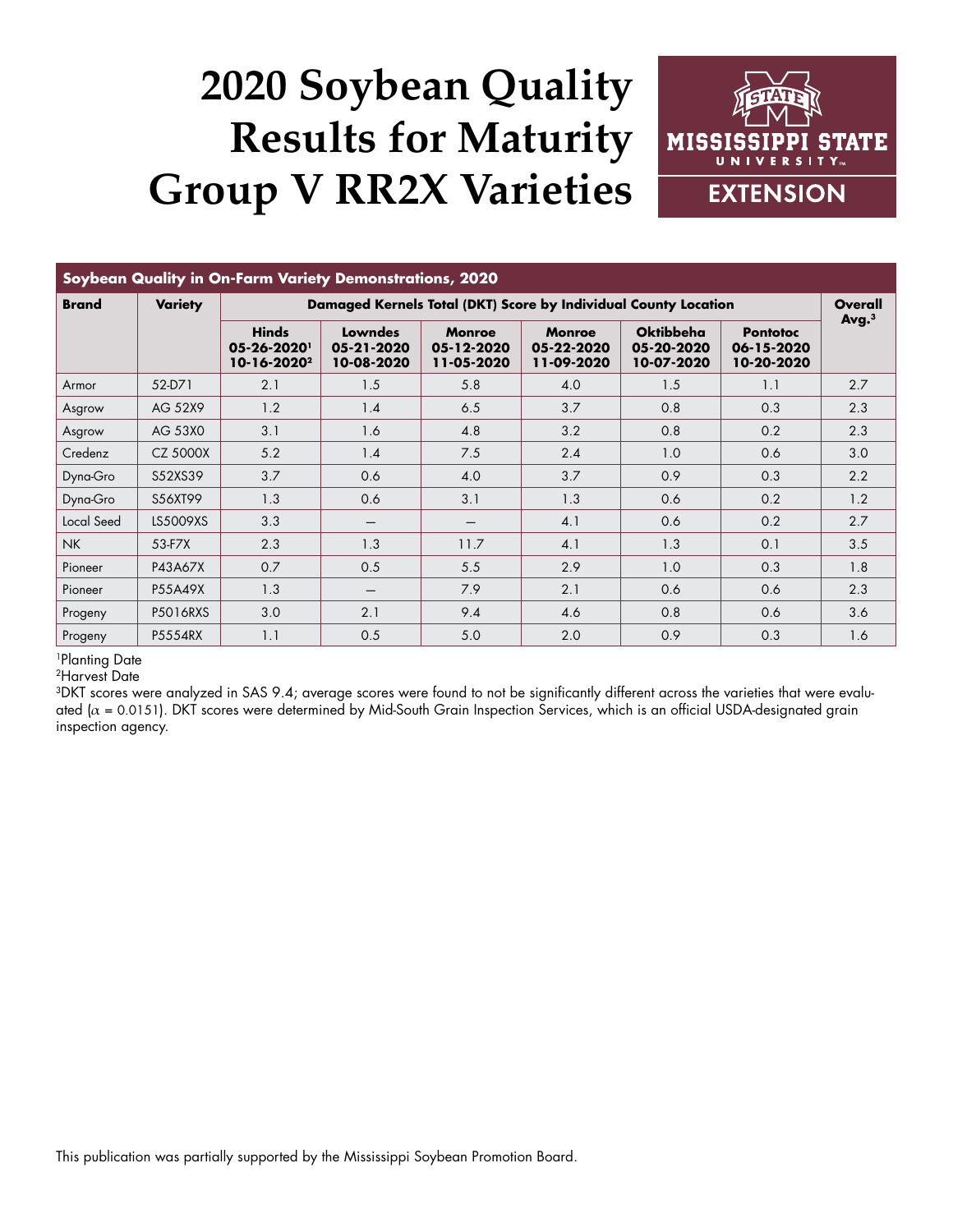## **2020 Soybean Quality Results for Maturity Group V RR2X Varieties**



| Soybean Quality in On-Farm Variety Demonstrations, 2020 |                |                                                                 |                                     |                                           |                                           |                                              |                                             |                     |
|---------------------------------------------------------|----------------|-----------------------------------------------------------------|-------------------------------------|-------------------------------------------|-------------------------------------------|----------------------------------------------|---------------------------------------------|---------------------|
| <b>Brand</b>                                            | <b>Variety</b> | Damaged Kernels Total (DKT) Score by Individual County Location |                                     |                                           |                                           |                                              |                                             | Overall             |
|                                                         |                | <b>Hinds</b><br>05-26-2020<br>10-16-2020 <sup>2</sup>           | Lowndes<br>05-21-2020<br>10-08-2020 | <b>Monroe</b><br>05-12-2020<br>11-05-2020 | <b>Monroe</b><br>05-22-2020<br>11-09-2020 | <b>Oktibbeha</b><br>05-20-2020<br>10-07-2020 | <b>Pontotoc</b><br>06-15-2020<br>10-20-2020 | $Avg1$ <sup>3</sup> |
| Armor                                                   | 52-D71         | 2.1                                                             | 1.5                                 | 5.8                                       | 4.0                                       | 1.5                                          | 1.1                                         | 2.7                 |
| Asgrow                                                  | AG 52X9        | 1.2                                                             | 1.4                                 | 6.5                                       | 3.7                                       | 0.8                                          | 0.3                                         | 2.3                 |
| Asgrow                                                  | AG 53X0        | 3.1                                                             | 1.6                                 | 4.8                                       | 3.2                                       | 0.8                                          | 0.2                                         | 2.3                 |
| Credenz                                                 | CZ 5000X       | 5.2                                                             | 1.4                                 | 7.5                                       | 2.4                                       | 1.0                                          | 0.6                                         | 3.0                 |
| Dyna-Gro                                                | S52XS39        | 3.7                                                             | 0.6                                 | 4.0                                       | 3.7                                       | 0.9                                          | 0.3                                         | 2.2                 |
| Dyna-Gro                                                | S56XT99        | 1.3                                                             | 0.6                                 | 3.1                                       | 1.3                                       | 0.6                                          | 0.2                                         | 1.2                 |
| Local Seed                                              | LS5009XS       | 3.3                                                             |                                     |                                           | 4.1                                       | 0.6                                          | 0.2                                         | 2.7                 |
| <b>NK</b>                                               | 53-F7X         | 2.3                                                             | 1.3                                 | 11.7                                      | 4.1                                       | 1.3                                          | 0.1                                         | 3.5                 |
| Pioneer                                                 | P43A67X        | 0.7                                                             | 0.5                                 | 5.5                                       | 2.9                                       | 1.0                                          | 0.3                                         | 1.8                 |
| Pioneer                                                 | P55A49X        | 1.3                                                             | $\overline{\phantom{m}}$            | 7.9                                       | 2.1                                       | 0.6                                          | 0.6                                         | 2.3                 |
| Progeny                                                 | P5016RXS       | 3.0                                                             | 2.1                                 | 9.4                                       | 4.6                                       | 0.8                                          | 0.6                                         | 3.6                 |
| Progeny                                                 | P5554RX        | 1.1                                                             | 0.5                                 | 5.0                                       | 2.0                                       | 0.9                                          | 0.3                                         | 1.6                 |

1Planting Date

2Harvest Date

3DKT scores were analyzed in SAS 9.4; average scores were found to not be significantly different across the varieties that were evaluated ( $\alpha$  = 0.0151). DKT scores were determined by Mid-South Grain Inspection Services, which is an official USDA-designated grain inspection agency.